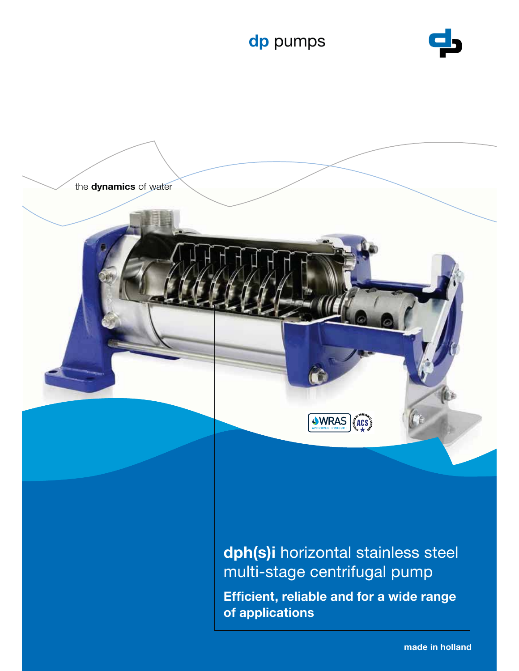





**dph(s)i** horizontal stainless steel multi-stage centrifugal pump

**Efficient, reliable and for a wide range of applications**

**made in holland**